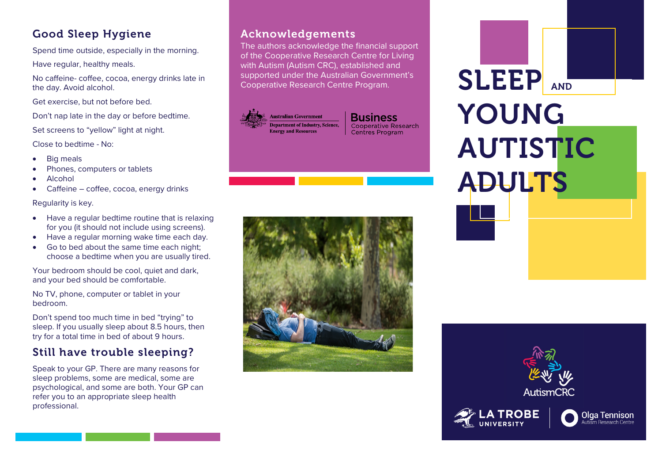

Spend time outside, especially in the morning.

Have regular, healthy meals.

No caffeine- coffee, cocoa, energy drinks late in the day. Avoid alcohol.

Get exercise, but not before bed.

Don't nap late in the day or before bedtime.

Set screens to "yellow" light at night.

Close to bedtime - No:

- Big meals
- Phones, computers or tablets
- Alcohol
- Caffeine coffee, cocoa, energy drinks

Regularity is key.

- Have a regular bedtime routine that is relaxing for you (it should not include using screens).
- Have a regular morning wake time each day.
- Go to bed about the same time each night; choose a bedtime when you are usually tired.

Your bedroom should be cool, quiet and dark, and your bed should be comfortable.

No TV, phone, computer or tablet in your bedroom.

Don't spend too much time in bed "trying" to sleep. If you usually sleep about 8.5 hours, then try for a total time in bed of about 9 hours.

# Still have trouble sleeping?

Speak to your GP. There are many reasons for sleep problems, some are medical, some are psychological, and some are both. Your GP can refer you to an appropriate sleep health professional.

### Acknowledgements

The authors acknowledge the financial support of the Cooperative Research Centre for Living with Autism (Autism CRC), established and supported under the Australian Government's<br>Cooperative Research Centre Program.

**Australian Government Department of Industry, Science, Energy and Resources** 

**Business** Cooperative Research Centres Program





**Olga Tennison**